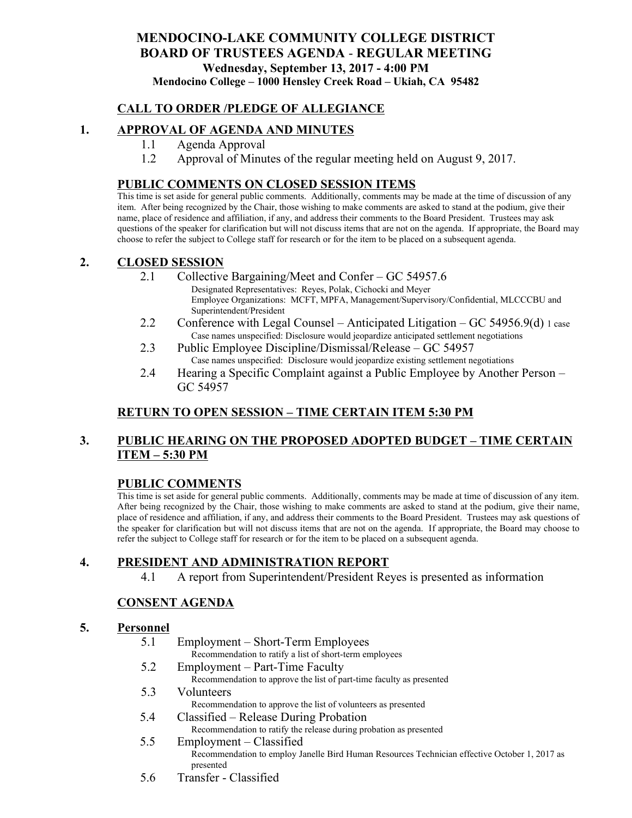## **MENDOCINO-LAKE COMMUNITY COLLEGE DISTRICT BOARD OF TRUSTEES AGENDA** - **REGULAR MEETING Wednesday, September 13, 2017 - 4:00 PM Mendocino College – 1000 Hensley Creek Road – Ukiah, CA 95482**

## **CALL TO ORDER /PLEDGE OF ALLEGIANCE**

### **1. APPROVAL OF AGENDA AND MINUTES**

- 1.1 Agenda Approval
- 1.2 Approval of Minutes of the regular meeting held on August 9, 2017.

#### **PUBLIC COMMENTS ON CLOSED SESSION ITEMS**

This time is set aside for general public comments. Additionally, comments may be made at the time of discussion of any item. After being recognized by the Chair, those wishing to make comments are asked to stand at the podium, give their name, place of residence and affiliation, if any, and address their comments to the Board President. Trustees may ask questions of the speaker for clarification but will not discuss items that are not on the agenda. If appropriate, the Board may choose to refer the subject to College staff for research or for the item to be placed on a subsequent agenda.

#### **2. CLOSED SESSION**

- 2.1 Collective Bargaining/Meet and Confer GC 54957.6
	- Designated Representatives: Reyes, Polak, Cichocki and Meyer Employee Organizations: MCFT, MPFA, Management/Supervisory/Confidential, MLCCCBU and Superintendent/President
- 2.2 Conference with Legal Counsel Anticipated Litigation GC 54956.9(d) 1 case Case names unspecified: Disclosure would jeopardize anticipated settlement negotiations
- 2.3 Public Employee Discipline/Dismissal/Release GC 54957 Case names unspecified: Disclosure would jeopardize existing settlement negotiations
- 2.4 Hearing a Specific Complaint against a Public Employee by Another Person GC 54957

# **RETURN TO OPEN SESSION – TIME CERTAIN ITEM 5:30 PM**

# **3. PUBLIC HEARING ON THE PROPOSED ADOPTED BUDGET – TIME CERTAIN ITEM – 5:30 PM**

### **PUBLIC COMMENTS**

This time is set aside for general public comments. Additionally, comments may be made at time of discussion of any item. After being recognized by the Chair, those wishing to make comments are asked to stand at the podium, give their name, place of residence and affiliation, if any, and address their comments to the Board President. Trustees may ask questions of the speaker for clarification but will not discuss items that are not on the agenda. If appropriate, the Board may choose to refer the subject to College staff for research or for the item to be placed on a subsequent agenda.

### **4. PRESIDENT AND ADMINISTRATION REPORT**

4.1 A report from Superintendent/President Reyes is presented as information

### **CONSENT AGENDA**

#### **5. Personnel**

- 5.1 Employment Short-Term Employees
	- Recommendation to ratify a list of short-term employees
- 5.2 Employment Part-Time Faculty Recommendation to approve the list of part-time faculty as presented
- 5.3 Volunteers Recommendation to approve the list of volunteers as presented
- 5.4 Classified Release During Probation Recommendation to ratify the release during probation as presented
- 5.5 Employment Classified Recommendation to employ Janelle Bird Human Resources Technician effective October 1, 2017 as presented
- 5.6 Transfer Classified